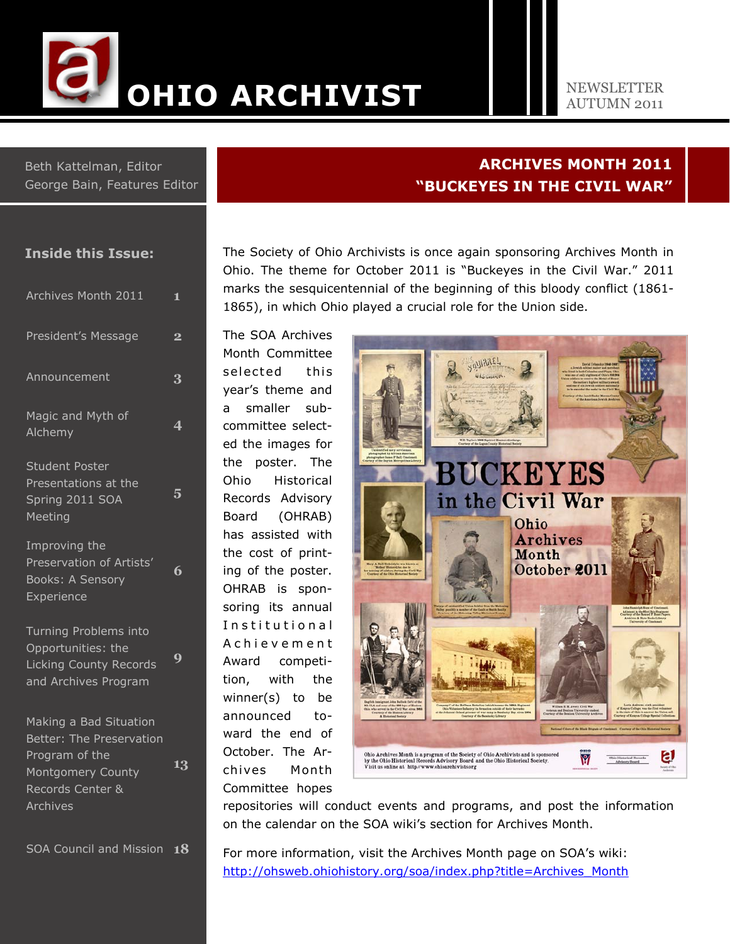

#### NEWSLETTER AUTUMN 2011

ARCHIVES MONTH 2011

"BUCKEYES IN THE CIVIL WAR"

Beth Kattelman, Editor George Bain, Features Editor

## Inside this Issue:

| Archives Month 2011                                                                           | $\mathbf{1}$            |
|-----------------------------------------------------------------------------------------------|-------------------------|
| <b>President's Message</b>                                                                    | $\overline{\mathbf{2}}$ |
| Announcement                                                                                  | 3                       |
| Magic and Myth of<br>Alchemy                                                                  | 4                       |
| <b>Student Poster</b><br>Presentations at the<br>Spring 2011 SOA<br>Meeting                   | 5                       |
| Improving the<br>Preservation of Artists'<br>Books: A Sensory<br>Experience                   | 6                       |
| Turning Problems into<br>Opportunities: the<br>Licking County Records<br>and Archives Program | 9                       |
| Making a Bad Situation<br>Better: The Preservation<br>Program of the<br>Montgomery County     | 13                      |

Records Center & Archives

SOA Council and Mission 18

The Society of Ohio Archivists is once again sponsoring Archives Month in Ohio. The theme for October 2011 is "Buckeyes in the Civil War." 2011 marks the sesquicentennial of the beginning of this bloody conflict (1861- 1865), in which Ohio played a crucial role for the Union side.

The SOA Archives Month Committee selected this year's theme and a smaller subcommittee selected the images for the poster. The Ohio Historical Records Advisory Board (OHRAB) has assisted with the cost of printing of the poster. OHRAB is sponsoring its annual Institutional A c h i e v e m e n t Award competition, with the winner(s) to be announced toward the end of October. The Archives Mon th Committee hopes



repositories will conduct events and programs, and post the information on the calendar on the SOA wiki's section for Archives Month.

For more information, visit the Archives Month page on SOA's wiki: http://ohsweb.ohiohistory.org/soa/index.php?title=Archives\_Month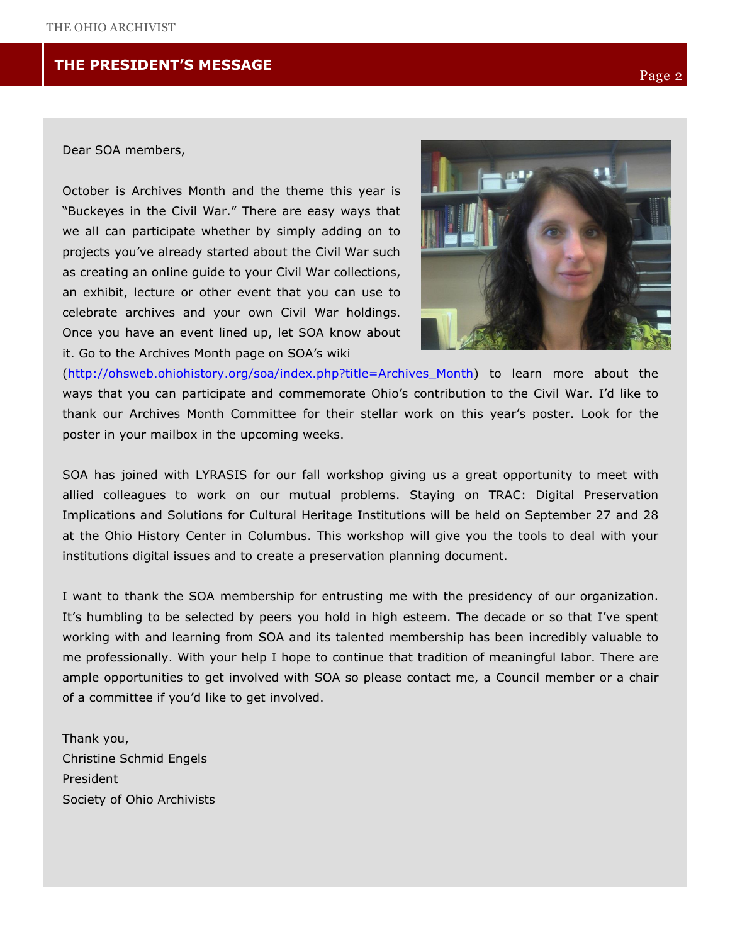# THE PRESIDENT'S MESSAGE

## Dear SOA members,

October is Archives Month and the theme this year is "Buckeyes in the Civil War." There are easy ways that we all can participate whether by simply adding on to projects you've already started about the Civil War such as creating an online guide to your Civil War collections, an exhibit, lecture or other event that you can use to celebrate archives and your own Civil War holdings. Once you have an event lined up, let SOA know about it. Go to the Archives Month page on SOA's wiki



(http://ohsweb.ohiohistory.org/soa/index.php?title=Archives\_Month) to learn more about the ways that you can participate and commemorate Ohio's contribution to the Civil War. I'd like to thank our Archives Month Committee for their stellar work on this year's poster. Look for the poster in your mailbox in the upcoming weeks.

SOA has joined with LYRASIS for our fall workshop giving us a great opportunity to meet with allied colleagues to work on our mutual problems. Staying on TRAC: Digital Preservation Implications and Solutions for Cultural Heritage Institutions will be held on September 27 and 28 at the Ohio History Center in Columbus. This workshop will give you the tools to deal with your institutions digital issues and to create a preservation planning document.

I want to thank the SOA membership for entrusting me with the presidency of our organization. It's humbling to be selected by peers you hold in high esteem. The decade or so that I've spent working with and learning from SOA and its talented membership has been incredibly valuable to me professionally. With your help I hope to continue that tradition of meaningful labor. There are ample opportunities to get involved with SOA so please contact me, a Council member or a chair of a committee if you'd like to get involved.

Thank you, Christine Schmid Engels President Society of Ohio Archivists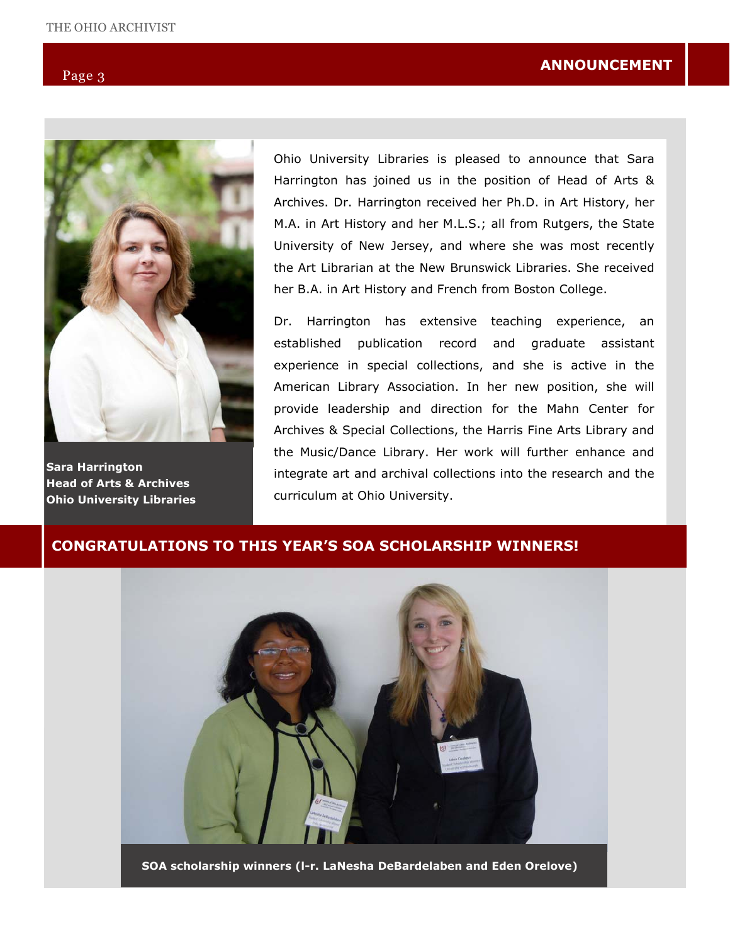

Sara Harrington Head of Arts & Archives Ohio University Libraries

Ohio University Libraries is pleased to announce that Sara Harrington has joined us in the position of Head of Arts & Archives. Dr. Harrington received her Ph.D. in Art History, her M.A. in Art History and her M.L.S.; all from Rutgers, the State University of New Jersey, and where she was most recently the Art Librarian at the New Brunswick Libraries. She received her B.A. in Art History and French from Boston College.

Dr. Harrington has extensive teaching experience, an established publication record and graduate assistant experience in special collections, and she is active in the American Library Association. In her new position, she will provide leadership and direction for the Mahn Center for Archives & Special Collections, the Harris Fine Arts Library and the Music/Dance Library. Her work will further enhance and integrate art and archival collections into the research and the curriculum at Ohio University.

## CONGRATULATIONS TO THIS YEAR'S SOA SCHOLARSHIP WINNERS!



SOA scholarship winners (l-r. LaNesha DeBardelaben and Eden Orelove)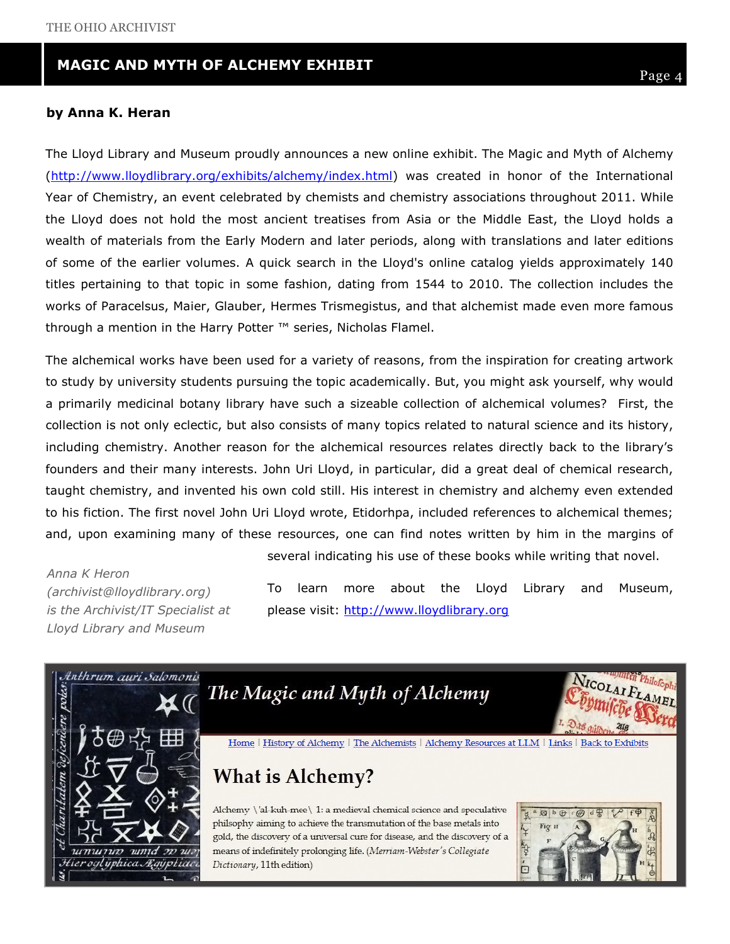#### THE COUNTY ARREST ARREST ARREST AND RECORDS MANAGEMENT AND RECORDS MANAGEMENT ASSOCIATION (CARMA) ASSOCIATION (CARMA) MAGIC AND MYTH OF ALCHEMY EXHIBIT

#### by Anna K. Heran

The Lloyd Library and Museum proudly announces a new online exhibit. The Magic and Myth of Alchemy (http://www.lloydlibrary.org/exhibits/alchemy/index.html) was created in honor of the International Year of Chemistry, an event celebrated by chemists and chemistry associations throughout 2011. While the Lloyd does not hold the most ancient treatises from Asia or the Middle East, the Lloyd holds a wealth of materials from the Early Modern and later periods, along with translations and later editions of some of the earlier volumes. A quick search in the Lloyd's online catalog yields approximately 140 titles pertaining to that topic in some fashion, dating from 1544 to 2010. The collection includes the works of Paracelsus, Maier, Glauber, Hermes Trismegistus, and that alchemist made even more famous through a mention in the Harry Potter ™ series, Nicholas Flamel.

The alchemical works have been used for a variety of reasons, from the inspiration for creating artwork to study by university students pursuing the topic academically. But, you might ask yourself, why would a primarily medicinal botany library have such a sizeable collection of alchemical volumes? First, the collection is not only eclectic, but also consists of many topics related to natural science and its history, including chemistry. Another reason for the alchemical resources relates directly back to the library's founders and their many interests. John Uri Lloyd, in particular, did a great deal of chemical research, taught chemistry, and invented his own cold still. His interest in chemistry and alchemy even extended to his fiction. The first novel John Uri Lloyd wrote, Etidorhpa, included references to alchemical themes; and, upon examining many of these resources, one can find notes written by him in the margins of

Anna K Heron (archivist@lloydlibrary.org) is the Archivist/IT Specialist at Lloyd Library and Museum

To learn more about the Lloyd Library and Museum, please visit: http://www.lloydlibrary.org

several indicating his use of these books while writing that novel.

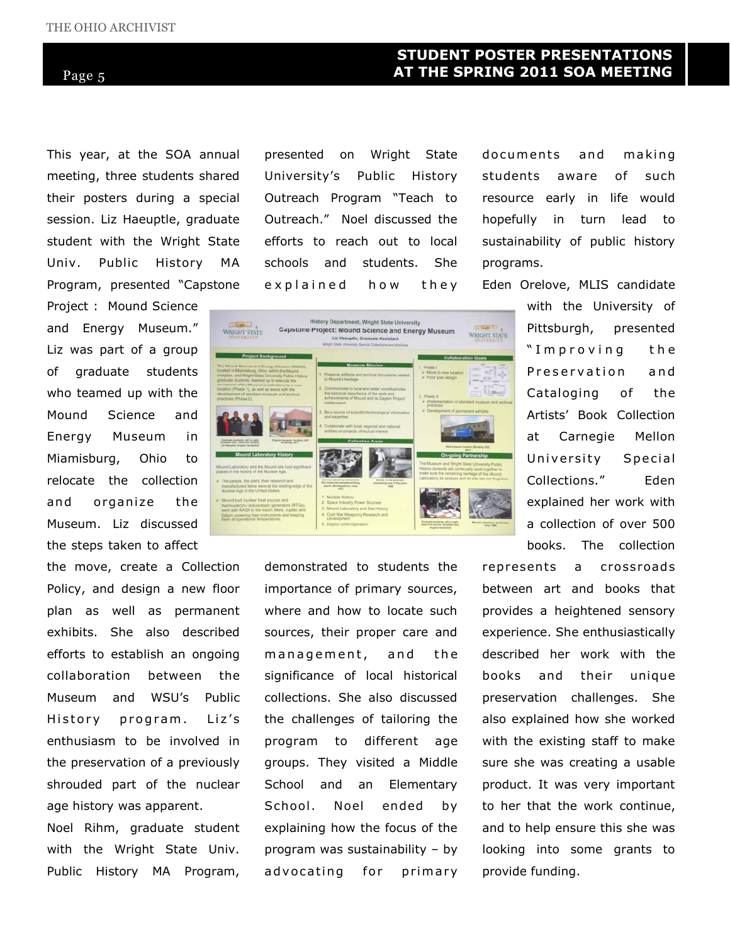## STUDENT POSTER PRESENTATIONS AT THE SPRING 2011 SOA MEETING

This year, at the SOA annual meeting, three students shared their posters during a special session. Liz Haeuptle, graduate student with the Wright State

Univ. Public History MA Program, presented "Capstone Project : Mound Science

and Energy Museum." Liz was part of a group of graduate students who teamed up with the Mound Science and Energy Museum in Miamisburg, Ohio to relocate the collection and organize the Museum. Liz discussed the steps taken to affect

the move, create a Collection Policy, and design a new floor plan as well as permanent exhibits. She also described efforts to establish an ongoing collaboration between the Museum and WSU's Public History program. Liz's enthusiasm to be involved in the preservation of a previously shrouded part of the nuclear age history was apparent.

Noel Rihm, graduate student with the Wright State Univ. Public History MA Program, presented on Wright State University's Public History Outreach Program "Teach to Outreach." Noel discussed the efforts to reach out to local schools and students. She explained how they documents and making students aware of such resource early in life would hopefully in turn lead to sustainability of public history programs.

Eden Orelove, MLIS candidate

with the University of Pittsburgh, presented "Improving the Preservation and Cataloging of the Artists' Book Collection at Carnegie Mellon University Special Collections." Eden explained her work with a collection of over 500 books. The collection

represents a crossroads between art and books that provides a heightened sensory experience. She enthusiastically described her work with the books and their unique preservation challenges. She also explained how she worked with the existing staff to make sure she was creating a usable product. It was very important to her that the work continue, and to help ensure this she was looking into some grants to provide funding.



demonstrated to students the importance of primary sources, where and how to locate such sources, their proper care and management, and the significance of local historical collections. She also discussed the challenges of tailoring the program to different age groups. They visited a Middle School and an Elementary School. Noel ended by explaining how the focus of the program was sustainability – by ad v ocating for primary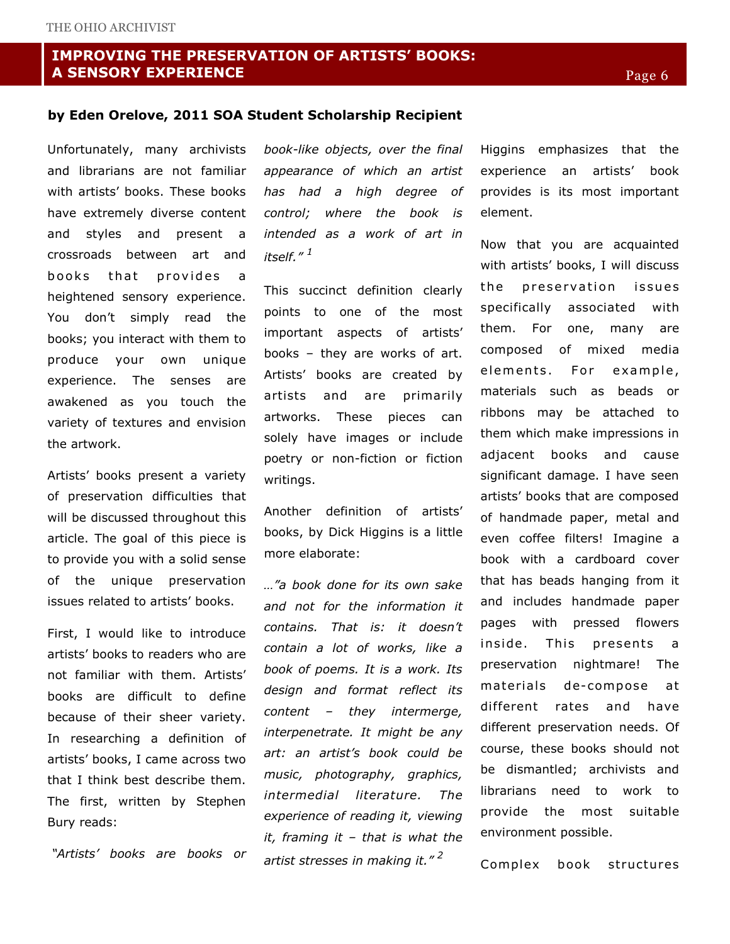## IMPROVING THE PRESERVATION OF ARTISTS' BOOKS: A SENSORY EXPERIENCE

#### by Eden Orelove, 2011 SOA Student Scholarship Recipient

Unfortunately, many archivists and librarians are not familiar with artists' books. These books have extremely diverse content and styles and present a crossroads between art and books that provides a heightened sensory experience. You don't simply read the books; you interact with them to produce your own unique experience. The senses are awakened as you touch the variety of textures and envision the artwork.

Artists' books present a variety of preservation difficulties that will be discussed throughout this article. The goal of this piece is to provide you with a solid sense of the unique preservation issues related to artists' books.

First, I would like to introduce artists' books to readers who are not familiar with them. Artists' books are difficult to define because of their sheer variety. In researching a definition of artists' books, I came across two that I think best describe them. The first, written by Stephen Bury reads:

"Artists' books are books or

book-like objects, over the final appearance of which an artist has had a high degree of control; where the book is intended as a work of art in itself." $^1$ 

This succinct definition clearly points to one of the most important aspects of artists' books – they are works of art. Artists' books are created by artists and are primarily artworks. These pieces can solely have images or include poetry or non-fiction or fiction writings.

Another definition of artists' books, by Dick Higgins is a little more elaborate:

…"a book done for its own sake and not for the information it contains. That is: it doesn't contain a lot of works, like a book of poems. It is a work. Its design and format reflect its content – they intermerge, interpenetrate. It might be any art: an artist's book could be music, photography, graphics, intermedial literature. The experience of reading it, viewing it, framing it  $-$  that is what the artist stresses in making it."<sup>2</sup>

Higgins emphasizes that the experience an artists' book provides is its most important element.

Now that you are acquainted with artists' books, I will discuss the preservation issues specifically associated with them. For one, many are composed of mixed media elements. For example, materials such as beads or ribbons may be attached to them which make impressions in adjacent books and cause significant damage. I have seen artists' books that are composed of handmade paper, metal and even coffee filters! Imagine a book with a cardboard cover that has beads hanging from it and includes handmade paper pages with pressed flowers inside. This presents a preservation nightmare! The materials de-compose at different rates and have different preservation needs. Of course, these books should not be dismantled; archivists and librarians need to work to provide the most suitable environment possible.

Complex book structures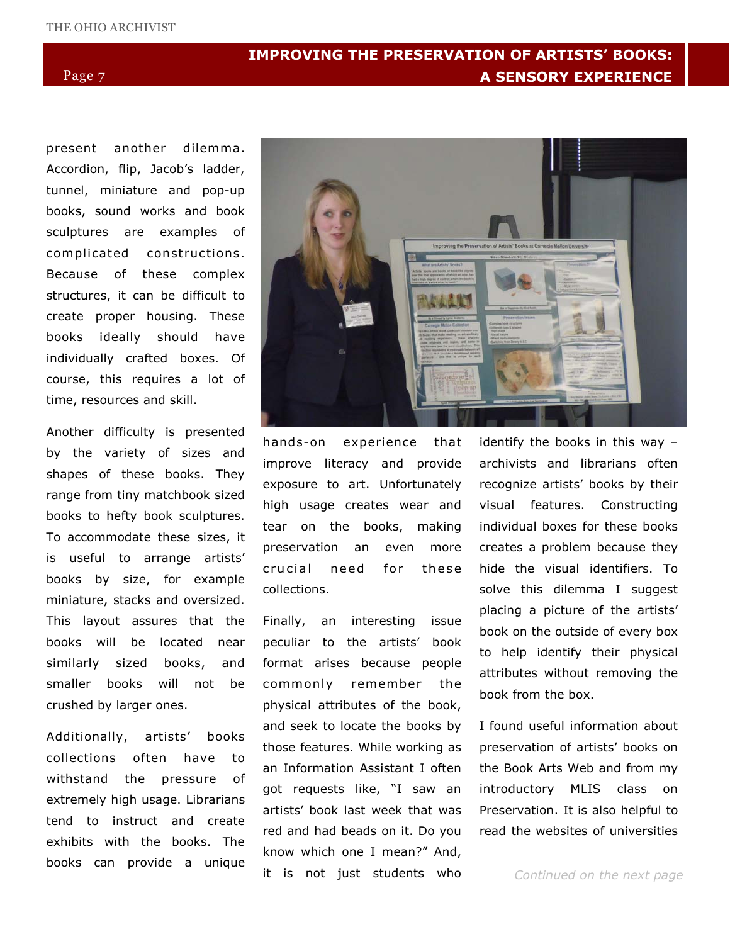# IMPROVING THE PRESERVATION OF ARTISTS' BOOKS: A SENSORY EXPERIENCE

present another dilemma. Accordion, flip, Jacob's ladder, tunnel, miniature and pop-up books, sound works and book sculptures are examples of complicated constructions. Because of these complex structures, it can be difficult to create proper housing. These books ideally should have individually crafted boxes. Of course, this requires a lot of time, resources and skill.

Another difficulty is presented by the variety of sizes and shapes of these books. They range from tiny matchbook sized books to hefty book sculptures. To accommodate these sizes, it is useful to arrange artists' books by size, for example miniature, stacks and oversized. This layout assures that the books will be located near similarly sized books, and smaller books will not be crushed by larger ones.

Additionally, artists' books collections often have to withstand the pressure of extremely high usage. Librarians tend to instruct and create exhibits with the books. The books can provide a unique



hands-on experience that improve literacy and provide exposure to art. Unfortunately high usage creates wear and tear on the books, making preservation an even more crucial need for these collections.

Finally, an interesting issue peculiar to the artists' book format arises because people commonly remember the physical attributes of the book, and seek to locate the books by those features. While working as an Information Assistant I often got requests like, "I saw an artists' book last week that was red and had beads on it. Do you know which one I mean?" And, it is not just students who

identify the books in this way – archivists and librarians often recognize artists' books by their visual features. Constructing individual boxes for these books creates a problem because they hide the visual identifiers. To solve this dilemma I suggest placing a picture of the artists' book on the outside of every box to help identify their physical attributes without removing the book from the box.

I found useful information about preservation of artists' books on the Book Arts Web and from my introductory MLIS class on Preservation. It is also helpful to read the websites of universities

Continued on the next page

#### Page 7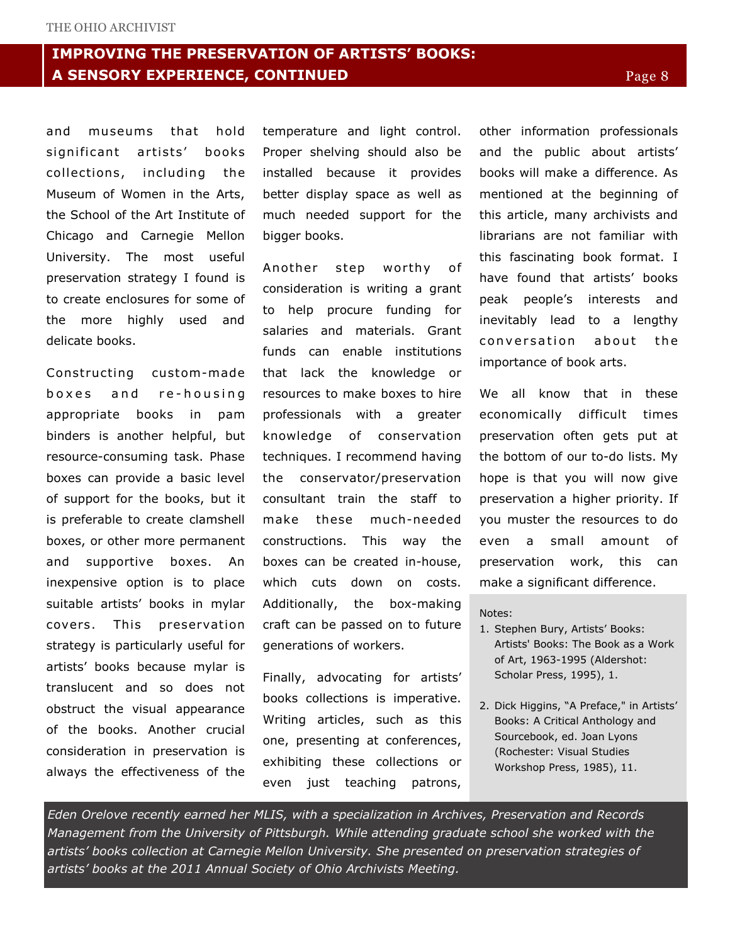# IMPROVING THE PRESERVATION OF ARTISTS' BOOKS: A SENSORY EXPERIENCE, CONTINUED

and museums that hold significant artists' books collections, including the Museum of Women in the Arts, the School of the Art Institute of Chicago and Carnegie Mellon University. The most useful preservation strategy I found is to create enclosures for some of the more highly used and delicate books.

Constructing custom-made boxes and re-housing appropriate books in pam binders is another helpful, but resource-consuming task. Phase boxes can provide a basic level of support for the books, but it is preferable to create clamshell boxes, or other more permanent and supportive boxes. An inexpensive option is to place suitable artists' books in mylar covers. This preservation strategy is particularly useful for artists' books because mylar is translucent and so does not obstruct the visual appearance of the books. Another crucial consideration in preservation is always the effectiveness of the

temperature and light control. Proper shelving should also be installed because it provides better display space as well as much needed support for the bigger books.

Another step worthy of consideration is writing a grant to help procure funding for salaries and materials. Grant funds can enable institutions that lack the knowledge or resources to make boxes to hire professionals with a greater knowledge of conservation techniques. I recommend having the conservator/preservation consultant train the staff to make these much-needed constructions. This way the boxes can be created in-house, which cuts down on costs. Additionally, the box-making craft can be passed on to future generations of workers.

Finally, advocating for artists' books collections is imperative. Writing articles, such as this one, presenting at conferences, exhibiting these collections or even just teaching patrons,

other information professionals and the public about artists' books will make a difference. As mentioned at the beginning of this article, many archivists and librarians are not familiar with this fascinating book format. I have found that artists' books peak people's interests and inevitably lead to a lengthy conversation about the importance of book arts.

We all know that in these economically difficult times preservation often gets put at the bottom of our to-do lists. My hope is that you will now give preservation a higher priority. If you muster the resources to do even a small amount of preservation work, this can make a significant difference.

#### Notes:

- 1. Stephen Bury, Artists' Books: Artists' Books: The Book as a Work of Art, 1963-1995 (Aldershot: Scholar Press, 1995), 1.
- 2. Dick Higgins, "A Preface," in Artists' Books: A Critical Anthology and Sourcebook, ed. Joan Lyons (Rochester: Visual Studies Workshop Press, 1985), 11.

Eden Orelove recently earned her MLIS, with a specialization in Archives, Preservation and Records Management from the University of Pittsburgh. While attending graduate school she worked with the artists' books collection at Carnegie Mellon University. She presented on preservation strategies of artists' books at the 2011 Annual Society of Ohio Archivists Meeting.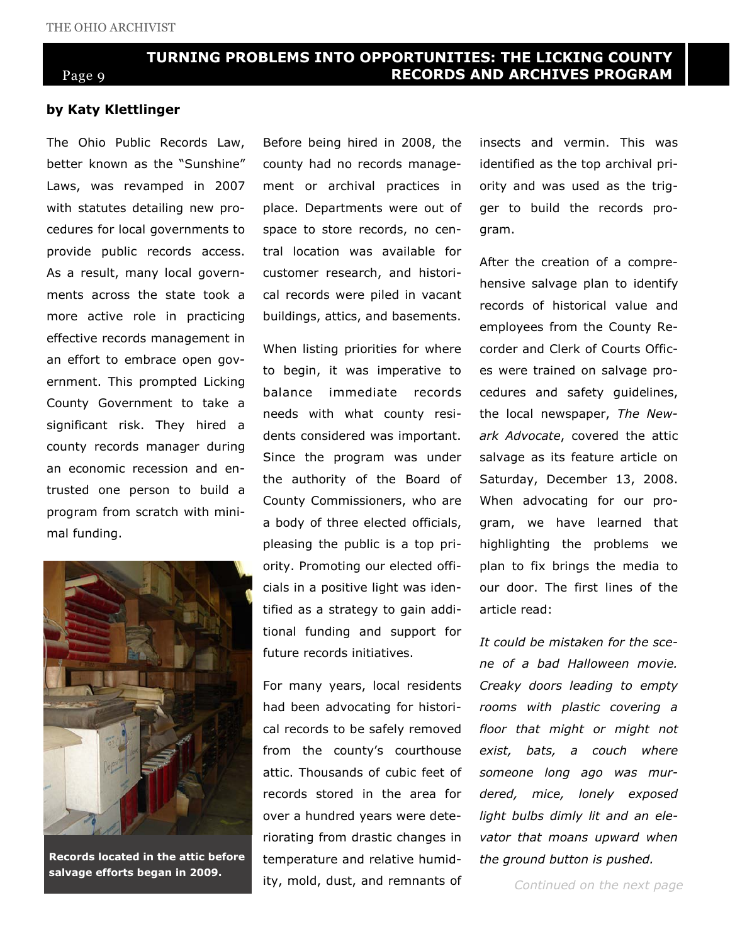# TURNING PROBLEMS INTO OPPORTUNITIES: THE LICKING COUNTY RECORDS AND ARCHIVES PROGRAM

# Page 9

#### by Katy Klettlinger

The Ohio Public Records Law, better known as the "Sunshine" Laws, was revamped in 2007 with statutes detailing new procedures for local governments to provide public records access. As a result, many local governments across the state took a more active role in practicing effective records management in an effort to embrace open government. This prompted Licking County Government to take a significant risk. They hired a county records manager during an economic recession and entrusted one person to build a program from scratch with minimal funding.



salvage efforts began in 2009.

Before being hired in 2008, the county had no records management or archival practices in place. Departments were out of space to store records, no central location was available for customer research, and historical records were piled in vacant buildings, attics, and basements.

When listing priorities for where to begin, it was imperative to balance immediate records needs with what county residents considered was important. Since the program was under the authority of the Board of County Commissioners, who are a body of three elected officials, pleasing the public is a top priority. Promoting our elected officials in a positive light was identified as a strategy to gain additional funding and support for future records initiatives.

For many years, local residents had been advocating for historical records to be safely removed from the county's courthouse attic. Thousands of cubic feet of records stored in the area for over a hundred years were deteriorating from drastic changes in Records located in the attic before temperature and relative humid- the ground button is pushed. ity, mold, dust, and remnants of

insects and vermin. This was identified as the top archival priority and was used as the trigger to build the records program.

After the creation of a comprehensive salvage plan to identify records of historical value and employees from the County Recorder and Clerk of Courts Offices were trained on salvage procedures and safety guidelines, the local newspaper, The Newark Advocate, covered the attic salvage as its feature article on Saturday, December 13, 2008. When advocating for our program, we have learned that highlighting the problems we plan to fix brings the media to our door. The first lines of the article read:

It could be mistaken for the scene of a bad Halloween movie. Creaky doors leading to empty rooms with plastic covering a floor that might or might not exist, bats, a couch where someone long ago was murdered, mice, lonely exposed light bulbs dimly lit and an elevator that moans upward when

Continued on the next page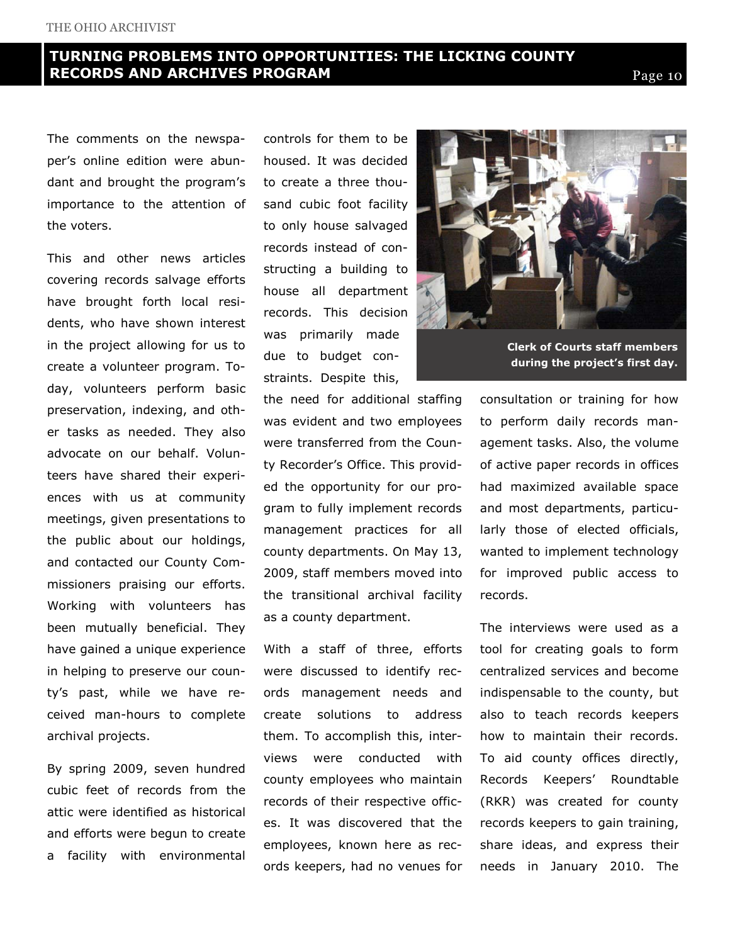# TURNING PROBLEMS INTO OPPORTUNITIES: THE LICKING COUNTY **RECORDS AND ARCHIVES PROGRAM Page 10** Page 10

The comments on the newspaper's online edition were abundant and brought the program's importance to the attention of the voters.

This and other news articles covering records salvage efforts have brought forth local residents, who have shown interest in the project allowing for us to create a volunteer program. Today, volunteers perform basic preservation, indexing, and other tasks as needed. They also advocate on our behalf. Volunteers have shared their experiences with us at community meetings, given presentations to the public about our holdings, and contacted our County Commissioners praising our efforts. Working with volunteers has been mutually beneficial. They have gained a unique experience in helping to preserve our county's past, while we have received man-hours to complete archival projects.

By spring 2009, seven hundred cubic feet of records from the attic were identified as historical and efforts were begun to create a facility with environmental controls for them to be housed. It was decided to create a three thousand cubic foot facility to only house salvaged records instead of constructing a building to house all department records. This decision was primarily made due to budget constraints. Despite this,

the need for additional staffing was evident and two employees were transferred from the County Recorder's Office. This provided the opportunity for our program to fully implement records management practices for all county departments. On May 13, 2009, staff members moved into the transitional archival facility as a county department.

With a staff of three, efforts were discussed to identify records management needs and create solutions to address them. To accomplish this, interviews were conducted with county employees who maintain records of their respective offices. It was discovered that the employees, known here as records keepers, had no venues for



Clerk of Courts staff members during the project's first day.

consultation or training for how to perform daily records management tasks. Also, the volume of active paper records in offices had maximized available space and most departments, particularly those of elected officials, wanted to implement technology for improved public access to records.

The interviews were used as a tool for creating goals to form centralized services and become indispensable to the county, but also to teach records keepers how to maintain their records. To aid county offices directly, Records Keepers' Roundtable (RKR) was created for county records keepers to gain training, share ideas, and express their needs in January 2010. The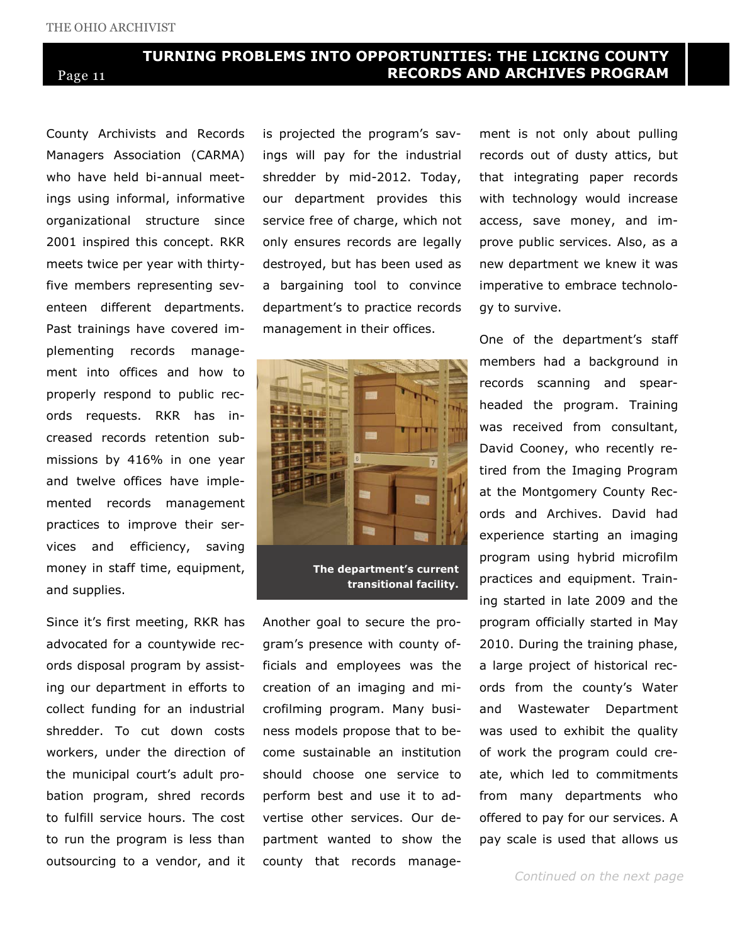# TURNING PROBLEMS INTO OPPORTUNITIES: THE LICKING COUNTY Page 11 RECORDS AND ARCHIVES PROGRAM

County Archivists and Records Managers Association (CARMA) who have held bi-annual meetings using informal, informative organizational structure since 2001 inspired this concept. RKR meets twice per year with thirtyfive members representing seventeen different departments. Past trainings have covered implementing records management into offices and how to properly respond to public records requests. RKR has increased records retention submissions by 416% in one year and twelve offices have implemented records management practices to improve their services and efficiency, saving money in staff time, equipment, and supplies.

Since it's first meeting, RKR has advocated for a countywide records disposal program by assisting our department in efforts to collect funding for an industrial shredder. To cut down costs workers, under the direction of the municipal court's adult probation program, shred records to fulfill service hours. The cost to run the program is less than outsourcing to a vendor, and it is projected the program's savings will pay for the industrial shredder by mid-2012. Today, our department provides this service free of charge, which not only ensures records are legally destroyed, but has been used as a bargaining tool to convince department's to practice records management in their offices.



The department's current transitional facility.

Another goal to secure the program's presence with county officials and employees was the creation of an imaging and microfilming program. Many business models propose that to become sustainable an institution should choose one service to perform best and use it to advertise other services. Our department wanted to show the county that records management is not only about pulling records out of dusty attics, but that integrating paper records with technology would increase access, save money, and improve public services. Also, as a new department we knew it was imperative to embrace technology to survive.

One of the department's staff members had a background in records scanning and spearheaded the program. Training was received from consultant, David Cooney, who recently retired from the Imaging Program at the Montgomery County Records and Archives. David had experience starting an imaging program using hybrid microfilm practices and equipment. Training started in late 2009 and the program officially started in May 2010. During the training phase, a large project of historical records from the county's Water and Wastewater Department was used to exhibit the quality of work the program could create, which led to commitments from many departments who offered to pay for our services. A pay scale is used that allows us

Continued on the next page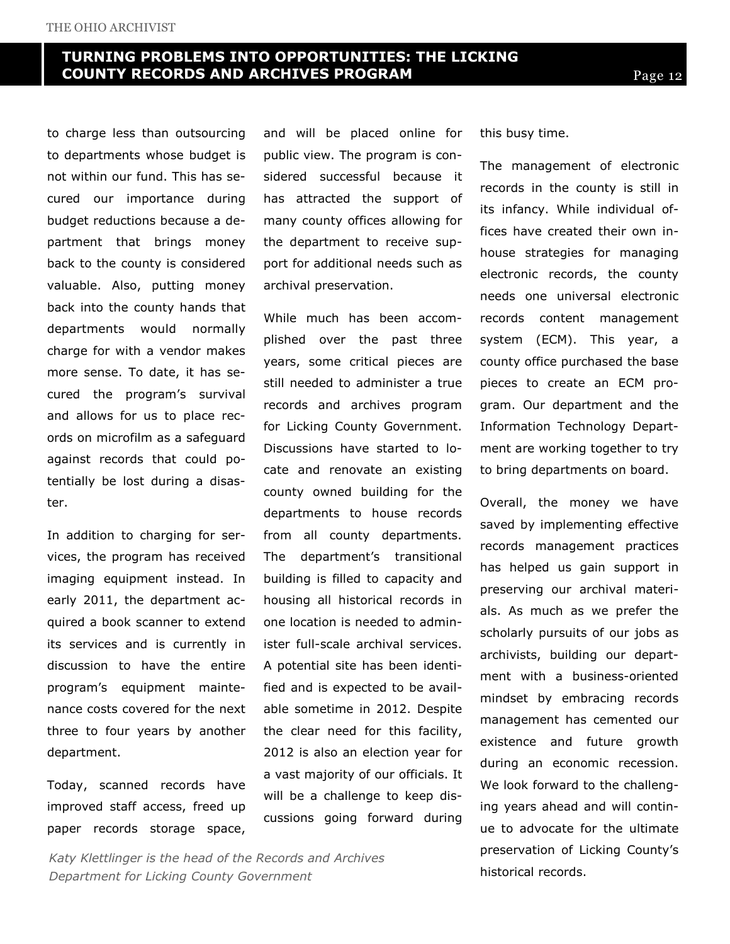# TURNING PROBLEMS INTO OPPORTUNITIES: THE LICKING COUNTY RECORDS AND ARCHIVES PROGRAM

to charge less than outsourcing to departments whose budget is not within our fund. This has secured our importance during budget reductions because a department that brings money back to the county is considered valuable. Also, putting money back into the county hands that departments would normally charge for with a vendor makes more sense. To date, it has secured the program's survival and allows for us to place records on microfilm as a safeguard against records that could potentially be lost during a disaster.

In addition to charging for services, the program has received imaging equipment instead. In early 2011, the department acquired a book scanner to extend its services and is currently in discussion to have the entire program's equipment maintenance costs covered for the next three to four years by another department.

Today, scanned records have improved staff access, freed up paper records storage space,

and will be placed online for public view. The program is considered successful because it has attracted the support of many county offices allowing for the department to receive support for additional needs such as archival preservation.

While much has been accomplished over the past three years, some critical pieces are still needed to administer a true records and archives program for Licking County Government. Discussions have started to locate and renovate an existing county owned building for the departments to house records from all county departments. The department's transitional building is filled to capacity and housing all historical records in one location is needed to administer full-scale archival services. A potential site has been identified and is expected to be available sometime in 2012. Despite the clear need for this facility, 2012 is also an election year for a vast majority of our officials. It will be a challenge to keep discussions going forward during

Katy Klettlinger is the head of the Records and Archives Department for Licking County Government

this busy time.

The management of electronic records in the county is still in its infancy. While individual offices have created their own inhouse strategies for managing electronic records, the county needs one universal electronic records content management system (ECM). This year, a county office purchased the base pieces to create an ECM program. Our department and the Information Technology Department are working together to try to bring departments on board.

Overall, the money we have saved by implementing effective records management practices has helped us gain support in preserving our archival materials. As much as we prefer the scholarly pursuits of our jobs as archivists, building our department with a business-oriented mindset by embracing records management has cemented our existence and future growth during an economic recession. We look forward to the challenging years ahead and will continue to advocate for the ultimate preservation of Licking County's historical records.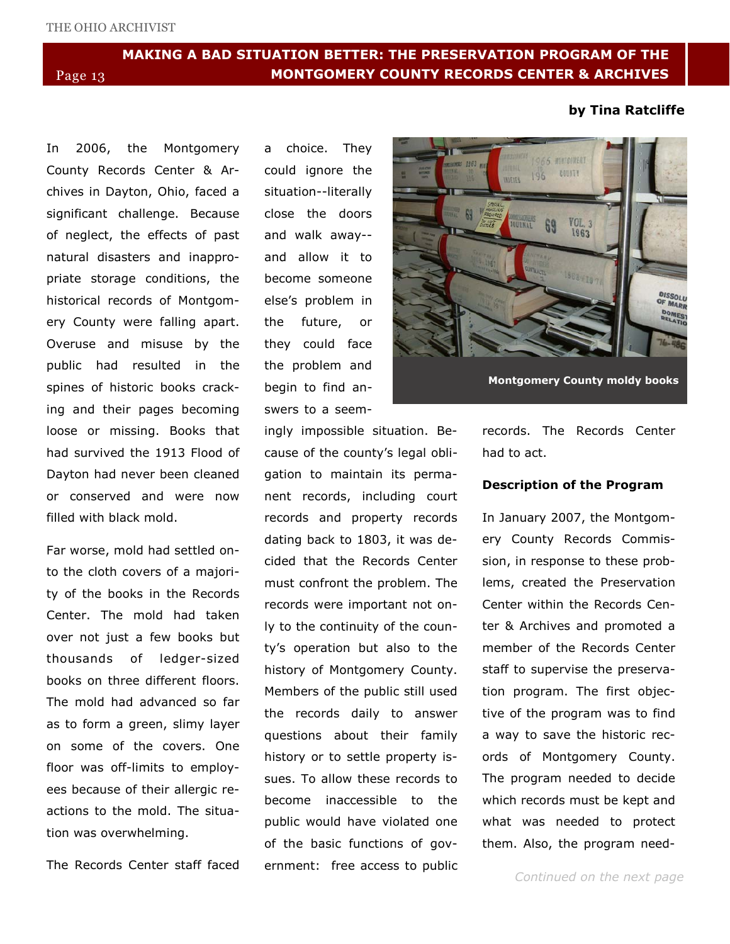# MAKING A BAD SITUATION BETTER: THE PRESERVATION PROGRAM OF THE Page 13 MONTGOMERY COUNTY RECORDS CENTER & ARCHIVES

#### by Tina Ratcliffe

In 2006, the Montgomery County Records Center & Archives in Dayton, Ohio, faced a significant challenge. Because of neglect, the effects of past natural disasters and inappropriate storage conditions, the historical records of Montgomery County were falling apart. Overuse and misuse by the public had resulted in the spines of historic books cracking and their pages becoming loose or missing. Books that had survived the 1913 Flood of Dayton had never been cleaned or conserved and were now filled with black mold.

Far worse, mold had settled onto the cloth covers of a majority of the books in the Records Center. The mold had taken over not just a few books but thousands of ledger-sized books on three different floors. The mold had advanced so far as to form a green, slimy layer on some of the covers. One floor was off-limits to employees because of their allergic reactions to the mold. The situation was overwhelming.

The Records Center staff faced

a choice. They could ignore the situation--literally close the doors and walk away- and allow it to become someone else's problem in the future, or they could face the problem and begin to find answers to a seem-

ingly impossible situation. Because of the county's legal obligation to maintain its permanent records, including court records and property records dating back to 1803, it was decided that the Records Center must confront the problem. The records were important not only to the continuity of the county's operation but also to the history of Montgomery County. Members of the public still used the records daily to answer questions about their family history or to settle property issues. To allow these records to become inaccessible to the public would have violated one of the basic functions of government: free access to public



Montgomery County moldy books

records. The Records Center had to act.

#### Description of the Program

In January 2007, the Montgomery County Records Commission, in response to these problems, created the Preservation Center within the Records Center & Archives and promoted a member of the Records Center staff to supervise the preservation program. The first objective of the program was to find a way to save the historic records of Montgomery County. The program needed to decide which records must be kept and what was needed to protect them. Also, the program need-

Continued on the next page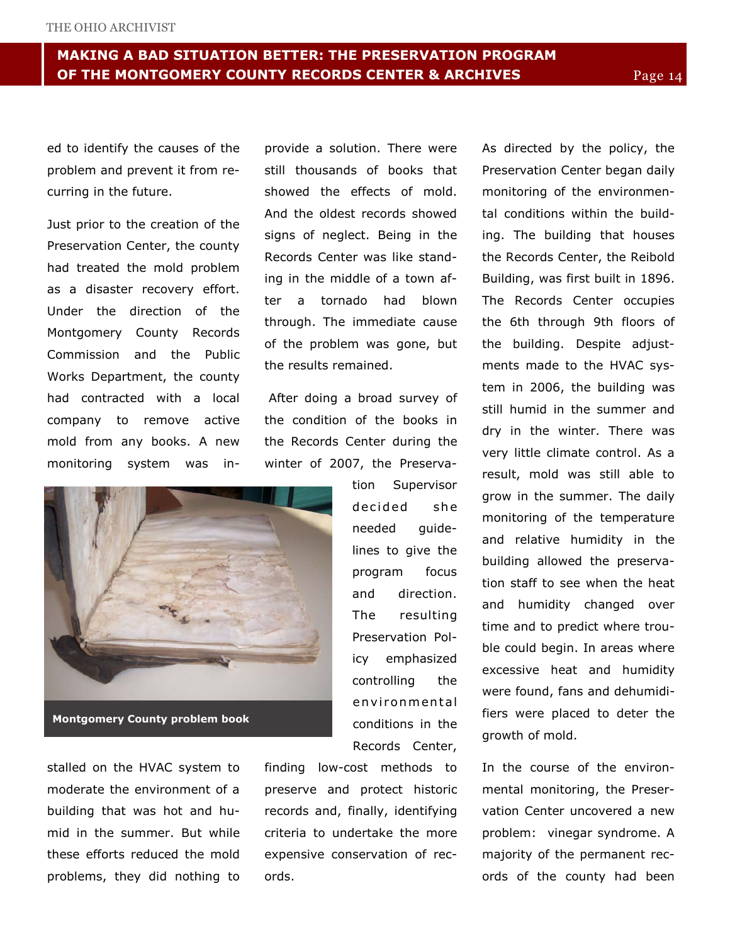ed to identify the causes of the problem and prevent it from recurring in the future.

Just prior to the creation of the Preservation Center, the county had treated the mold problem as a disaster recovery effort. Under the direction of the Montgomery County Records Commission and the Public Works Department, the county had contracted with a local company to remove active mold from any books. A new monitoring system was inprovide a solution. There were still thousands of books that showed the effects of mold. And the oldest records showed signs of neglect. Being in the Records Center was like standing in the middle of a town after a tornado had blown through. The immediate cause of the problem was gone, but the results remained.

 After doing a broad survey of the condition of the books in the Records Center during the winter of 2007, the Preserva-

> tion Supervisor decided she needed guidelines to give the program focus and direction. The resulting Preservation Policy emphasized controlling the en vir on mental conditions in the Records Center,



stalled on the HVAC system to moderate the environment of a building that was hot and humid in the summer. But while these efforts reduced the mold problems, they did nothing to

finding low-cost methods to preserve and protect historic records and, finally, identifying criteria to undertake the more expensive conservation of records.

As directed by the policy, the Preservation Center began daily monitoring of the environmental conditions within the building. The building that houses the Records Center, the Reibold Building, was first built in 1896. The Records Center occupies the 6th through 9th floors of the building. Despite adjustments made to the HVAC system in 2006, the building was still humid in the summer and dry in the winter. There was very little climate control. As a result, mold was still able to grow in the summer. The daily monitoring of the temperature and relative humidity in the building allowed the preservation staff to see when the heat and humidity changed over time and to predict where trouble could begin. In areas where excessive heat and humidity were found, fans and dehumidifiers were placed to deter the growth of mold.

In the course of the environmental monitoring, the Preservation Center uncovered a new problem: vinegar syndrome. A majority of the permanent records of the county had been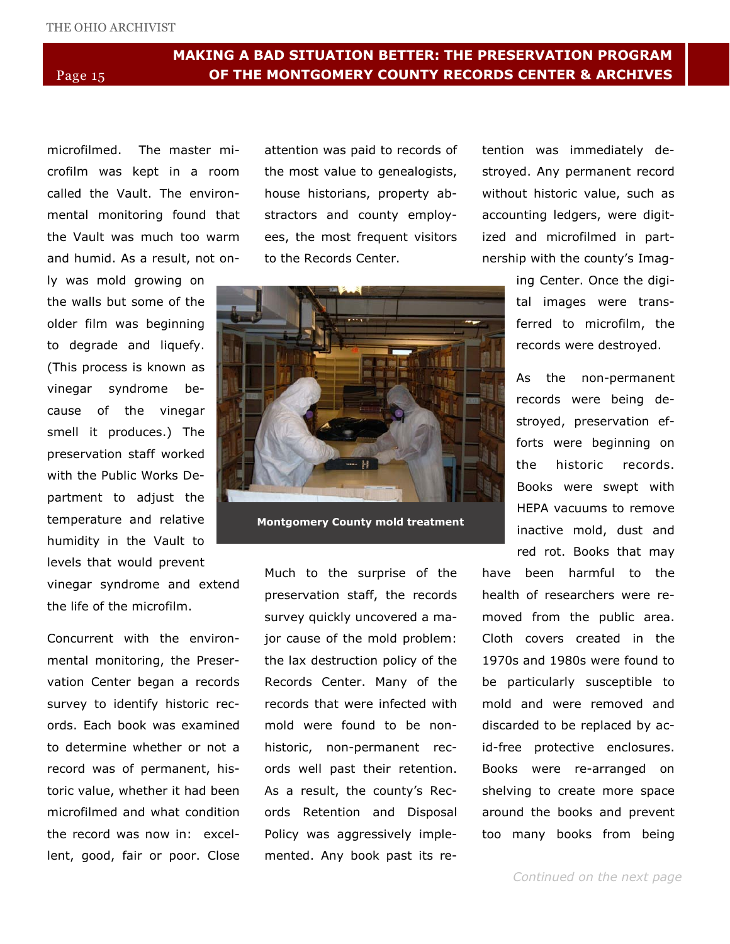# MAKING A BAD SITUATION BETTER: THE PRESERVATION PROGRAM Page 15 **OF THE MONTGOMERY COUNTY RECORDS CENTER & ARCHIVES**

microfilmed. The master microfilm was kept in a room called the Vault. The environmental monitoring found that the Vault was much too warm and humid. As a result, not on-

ly was mold growing on the walls but some of the older film was beginning to degrade and liquefy. (This process is known as vinegar syndrome because of the vinegar smell it produces.) The preservation staff worked with the Public Works Department to adjust the temperature and relative humidity in the Vault to levels that would prevent

vinegar syndrome and extend the life of the microfilm.

Concurrent with the environmental monitoring, the Preservation Center began a records survey to identify historic records. Each book was examined to determine whether or not a record was of permanent, historic value, whether it had been microfilmed and what condition the record was now in: excellent, good, fair or poor. Close attention was paid to records of the most value to genealogists, house historians, property abstractors and county employees, the most frequent visitors to the Records Center.



Montgomery County mold treatment

Much to the surprise of the preservation staff, the records survey quickly uncovered a major cause of the mold problem: the lax destruction policy of the Records Center. Many of the records that were infected with mold were found to be nonhistoric, non-permanent records well past their retention. As a result, the county's Records Retention and Disposal Policy was aggressively implemented. Any book past its retention was immediately destroyed. Any permanent record without historic value, such as accounting ledgers, were digitized and microfilmed in partnership with the county's Imag-

> ing Center. Once the digital images were transferred to microfilm, the records were destroyed.

> As the non-permanent records were being destroyed, preservation efforts were beginning on the historic records. Books were swept with HEPA vacuums to remove inactive mold, dust and red rot. Books that may

have been harmful to the health of researchers were removed from the public area. Cloth covers created in the 1970s and 1980s were found to be particularly susceptible to mold and were removed and discarded to be replaced by acid-free protective enclosures. Books were re-arranged on shelving to create more space around the books and prevent too many books from being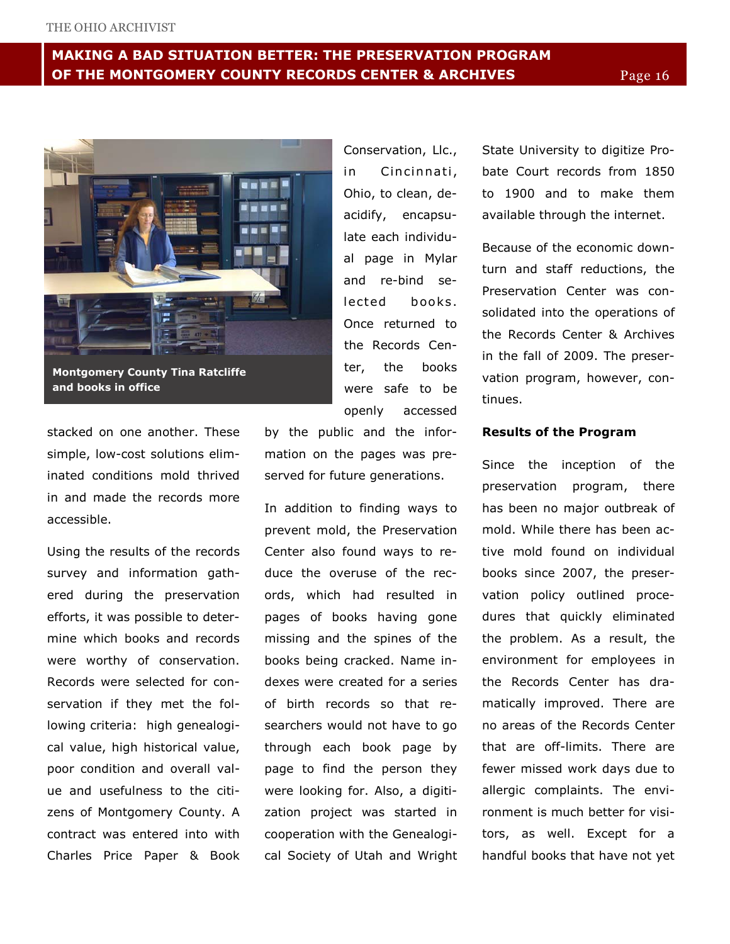# MAKING A BAD SITUATION BETTER: THE PRESERVATION PROGRAM OF THE MONTGOMERY COUNTY RECORDS CENTER & ARCHIVES Page 16



Montgomery County Tina Ratcliffe and books in office

stacked on one another. These simple, low-cost solutions eliminated conditions mold thrived in and made the records more accessible.

Using the results of the records survey and information gathered during the preservation efforts, it was possible to determine which books and records were worthy of conservation. Records were selected for conservation if they met the following criteria: high genealogical value, high historical value, poor condition and overall value and usefulness to the citizens of Montgomery County. A contract was entered into with Charles Price Paper & Book

openly accessed by the public and the information on the pages was preserved for future generations.

Conservation, Llc., in Cincinnati, Ohio, to clean, deacidify, encapsulate each individual page in Mylar and re-bind selected books. Once returned to the Records Center, the books were safe to be

In addition to finding ways to prevent mold, the Preservation Center also found ways to reduce the overuse of the records, which had resulted in pages of books having gone missing and the spines of the books being cracked. Name indexes were created for a series of birth records so that researchers would not have to go through each book page by page to find the person they were looking for. Also, a digitization project was started in cooperation with the Genealogical Society of Utah and Wright State University to digitize Probate Court records from 1850 to 1900 and to make them available through the internet.

Because of the economic downturn and staff reductions, the Preservation Center was consolidated into the operations of the Records Center & Archives in the fall of 2009. The preservation program, however, continues.

#### Results of the Program

Since the inception of the preservation program, there has been no major outbreak of mold. While there has been active mold found on individual books since 2007, the preservation policy outlined procedures that quickly eliminated the problem. As a result, the environment for employees in the Records Center has dramatically improved. There are no areas of the Records Center that are off-limits. There are fewer missed work days due to allergic complaints. The environment is much better for visitors, as well. Except for a handful books that have not yet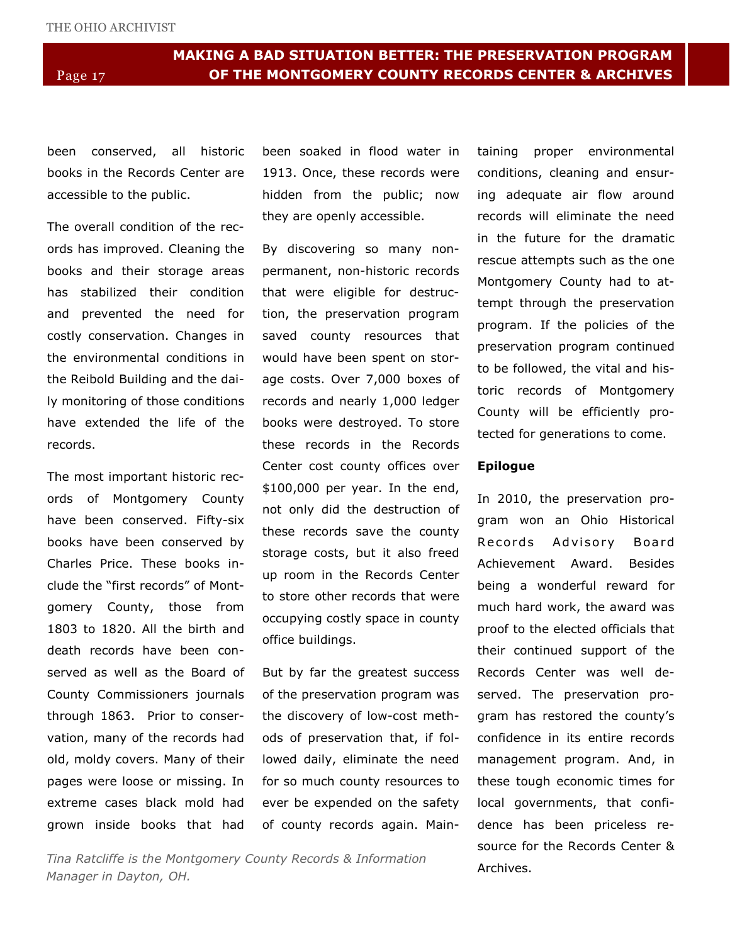been conserved, all historic books in the Records Center are accessible to the public.

The overall condition of the records has improved. Cleaning the books and their storage areas has stabilized their condition and prevented the need for costly conservation. Changes in the environmental conditions in the Reibold Building and the daily monitoring of those conditions have extended the life of the records.

The most important historic records of Montgomery County have been conserved. Fifty-six books have been conserved by Charles Price. These books include the "first records" of Montgomery County, those from 1803 to 1820. All the birth and death records have been conserved as well as the Board of County Commissioners journals through 1863. Prior to conservation, many of the records had old, moldy covers. Many of their pages were loose or missing. In extreme cases black mold had grown inside books that had been soaked in flood water in 1913. Once, these records were hidden from the public; now they are openly accessible.

By discovering so many nonpermanent, non-historic records that were eligible for destruction, the preservation program saved county resources that would have been spent on storage costs. Over 7,000 boxes of records and nearly 1,000 ledger books were destroyed. To store these records in the Records Center cost county offices over \$100,000 per year. In the end, not only did the destruction of these records save the county storage costs, but it also freed up room in the Records Center to store other records that were occupying costly space in county office buildings.

But by far the greatest success of the preservation program was the discovery of low-cost methods of preservation that, if followed daily, eliminate the need for so much county resources to ever be expended on the safety of county records again. Main-

Tina Ratcliffe is the Montgomery County Records & Information Manager in Dayton, OH.

taining proper environmental conditions, cleaning and ensuring adequate air flow around records will eliminate the need in the future for the dramatic rescue attempts such as the one Montgomery County had to attempt through the preservation program. If the policies of the preservation program continued to be followed, the vital and historic records of Montgomery County will be efficiently protected for generations to come.

#### Epilogue

In 2010, the preservation program won an Ohio Historical Records Advisory Board Achievement Award. Besides being a wonderful reward for much hard work, the award was proof to the elected officials that their continued support of the Records Center was well deserved. The preservation program has restored the county's confidence in its entire records management program. And, in these tough economic times for local governments, that confidence has been priceless resource for the Records Center & Archives.